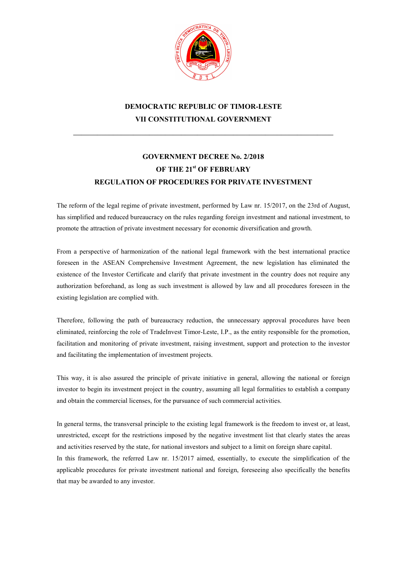

# DEMOCRATIC REPUBLIC OF TIMOR-LESTE VII CONSTITUTIONAL GOVERNMENT

\_\_\_\_\_\_\_\_\_\_\_\_\_\_\_\_\_\_\_\_\_\_\_\_\_\_\_\_\_\_\_\_\_\_\_\_\_\_\_\_\_\_\_\_\_\_\_\_\_\_\_\_\_\_\_\_\_\_\_\_\_\_\_\_\_

# GOVERNMENT DECREE No. 2/2018 OF THE 21<sup>st</sup> OF FEBRUARY REGULATION OF PROCEDURES FOR PRIVATE INVESTMENT

The reform of the legal regime of private investment, performed by Law nr. 15/2017, on the 23rd of August, has simplified and reduced bureaucracy on the rules regarding foreign investment and national investment, to promote the attraction of private investment necessary for economic diversification and growth.

From a perspective of harmonization of the national legal framework with the best international practice foreseen in the ASEAN Comprehensive Investment Agreement, the new legislation has eliminated the existence of the Investor Certificate and clarify that private investment in the country does not require any authorization beforehand, as long as such investment is allowed by law and all procedures foreseen in the existing legislation are complied with.

Therefore, following the path of bureaucracy reduction, the unnecessary approval procedures have been eliminated, reinforcing the role of TradeInvest Timor-Leste, I.P., as the entity responsible for the promotion, facilitation and monitoring of private investment, raising investment, support and protection to the investor and facilitating the implementation of investment projects.

This way, it is also assured the principle of private initiative in general, allowing the national or foreign investor to begin its investment project in the country, assuming all legal formalities to establish a company and obtain the commercial licenses, for the pursuance of such commercial activities.

In general terms, the transversal principle to the existing legal framework is the freedom to invest or, at least, unrestricted, except for the restrictions imposed by the negative investment list that clearly states the areas and activities reserved by the state, for national investors and subject to a limit on foreign share capital. In this framework, the referred Law nr. 15/2017 aimed, essentially, to execute the simplification of the applicable procedures for private investment national and foreign, foreseeing also specifically the benefits that may be awarded to any investor.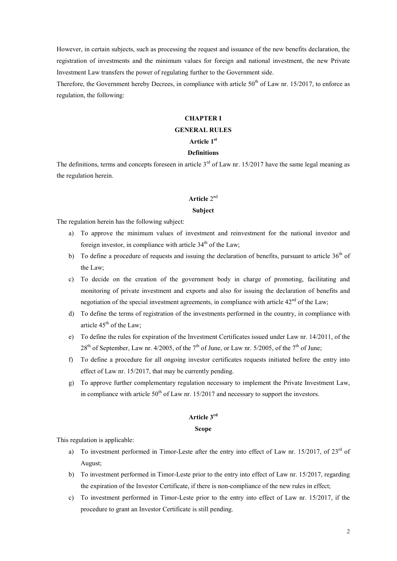However, in certain subjects, such as processing the request and issuance of the new benefits declaration, the registration of investments and the minimum values for foreign and national investment, the new Private Investment Law transfers the power of regulating further to the Government side.

Therefore, the Government hereby Decrees, in compliance with article  $50<sup>th</sup>$  of Law nr. 15/2017, to enforce as regulation, the following:

#### CHAPTER I

## GENERAL RULES

#### Article 1st

#### Definitions

The definitions, terms and concepts foreseen in article  $3<sup>rd</sup>$  of Law nr. 15/2017 have the same legal meaning as the regulation herein.

## Article 2<sup>nd</sup>

#### Subject

The regulation herein has the following subject:

- a) To approve the minimum values of investment and reinvestment for the national investor and foreign investor, in compliance with article  $34<sup>th</sup>$  of the Law;
- b) To define a procedure of requests and issuing the declaration of benefits, pursuant to article  $36<sup>th</sup>$  of the Law;
- c) To decide on the creation of the government body in charge of promoting, facilitating and monitoring of private investment and exports and also for issuing the declaration of benefits and negotiation of the special investment agreements, in compliance with article  $42<sup>nd</sup>$  of the Law;
- d) To define the terms of registration of the investments performed in the country, in compliance with article  $45<sup>th</sup>$  of the Law;
- e) To define the rules for expiration of the Investment Certificates issued under Law nr. 14/2011, of the  $28<sup>th</sup>$  of September, Law nr. 4/2005, of the 7<sup>th</sup> of June, or Law nr. 5/2005, of the 7<sup>th</sup> of June;
- f) To define a procedure for all ongoing investor certificates requests initiated before the entry into effect of Law nr. 15/2017, that may be currently pending.
- g) To approve further complementary regulation necessary to implement the Private Investment Law, in compliance with article  $50<sup>th</sup>$  of Law nr. 15/2017 and necessary to support the investors.

#### Article 3rd

#### Scope

This regulation is applicable:

- a) To investment performed in Timor-Leste after the entry into effect of Law nr. 15/2017, of 23<sup>rd</sup> of August;
- b) To investment performed in Timor-Leste prior to the entry into effect of Law nr. 15/2017, regarding the expiration of the Investor Certificate, if there is non-compliance of the new rules in effect;
- c) To investment performed in Timor-Leste prior to the entry into effect of Law nr. 15/2017, if the procedure to grant an Investor Certificate is still pending.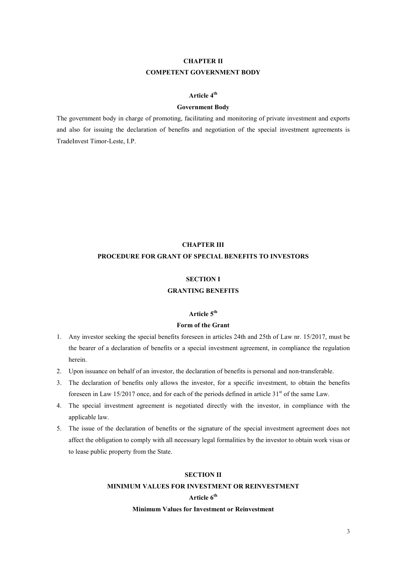# CHAPTER II COMPETENT GOVERNMENT BODY

## Article 4<sup>th</sup>

#### Government Body

The government body in charge of promoting, facilitating and monitoring of private investment and exports and also for issuing the declaration of benefits and negotiation of the special investment agreements is TradeInvest Timor-Leste, I.P.

# CHAPTER III PROCEDURE FOR GRANT OF SPECIAL BENEFITS TO INVESTORS

#### SECTION I

## GRANTING BENEFITS

## Article 5<sup>th</sup>

## Form of the Grant

- 1. Any investor seeking the special benefits foreseen in articles 24th and 25th of Law nr. 15/2017, must be the bearer of a declaration of benefits or a special investment agreement, in compliance the regulation herein.
- 2. Upon issuance on behalf of an investor, the declaration of benefits is personal and non-transferable.
- 3. The declaration of benefits only allows the investor, for a specific investment, to obtain the benefits foreseen in Law 15/2017 once, and for each of the periods defined in article  $31<sup>st</sup>$  of the same Law.
- 4. The special investment agreement is negotiated directly with the investor, in compliance with the applicable law.
- 5. The issue of the declaration of benefits or the signature of the special investment agreement does not affect the obligation to comply with all necessary legal formalities by the investor to obtain work visas or to lease public property from the State.

#### SECTION II

#### MINIMUM VALUES FOR INVESTMENT OR REINVESTMENT

## Article 6<sup>th</sup>

#### Minimum Values for Investment or Reinvestment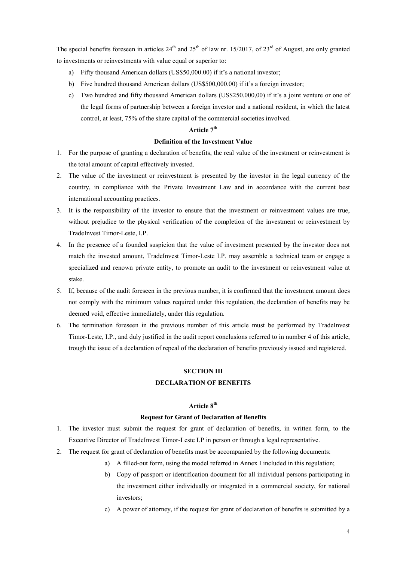The special benefits foreseen in articles 24<sup>th</sup> and 25<sup>th</sup> of law nr. 15/2017, of 23<sup>rd</sup> of August, are only granted to investments or reinvestments with value equal or superior to:

- a) Fifty thousand American dollars (US\$50,000.00) if it's a national investor;
- b) Five hundred thousand American dollars (US\$500,000.00) if it's a foreign investor;
- c) Two hundred and fifty thousand American dollars (US\$250.000,00) if it's a joint venture or one of the legal forms of partnership between a foreign investor and a national resident, in which the latest control, at least, 75% of the share capital of the commercial societies involved.

## Article 7<sup>th</sup>

### Definition of the Investment Value

- 1. For the purpose of granting a declaration of benefits, the real value of the investment or reinvestment is the total amount of capital effectively invested.
- 2. The value of the investment or reinvestment is presented by the investor in the legal currency of the country, in compliance with the Private Investment Law and in accordance with the current best international accounting practices.
- 3. It is the responsibility of the investor to ensure that the investment or reinvestment values are true, without prejudice to the physical verification of the completion of the investment or reinvestment by TradeInvest Timor-Leste, I.P.
- 4. In the presence of a founded suspicion that the value of investment presented by the investor does not match the invested amount, TradeInvest Timor-Leste I.P. may assemble a technical team or engage a specialized and renown private entity, to promote an audit to the investment or reinvestment value at stake.
- 5. If, because of the audit foreseen in the previous number, it is confirmed that the investment amount does not comply with the minimum values required under this regulation, the declaration of benefits may be deemed void, effective immediately, under this regulation.
- 6. The termination foreseen in the previous number of this article must be performed by TradeInvest Timor-Leste, I.P., and duly justified in the audit report conclusions referred to in number 4 of this article, trough the issue of a declaration of repeal of the declaration of benefits previously issued and registered.

## SECTION III DECLARATION OF BENEFITS

## Article 8<sup>th</sup>

#### Request for Grant of Declaration of Benefits

- 1. The investor must submit the request for grant of declaration of benefits, in written form, to the Executive Director of TradeInvest Timor-Leste I.P in person or through a legal representative.
- 2. The request for grant of declaration of benefits must be accompanied by the following documents:
	- a) A filled-out form, using the model referred in Annex I included in this regulation;
	- b) Copy of passport or identification document for all individual persons participating in the investment either individually or integrated in a commercial society, for national investors;
	- c) A power of attorney, if the request for grant of declaration of benefits is submitted by a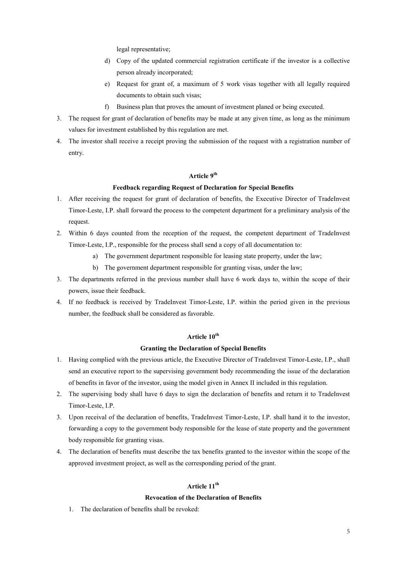legal representative;

- d) Copy of the updated commercial registration certificate if the investor is a collective person already incorporated;
- e) Request for grant of, a maximum of 5 work visas together with all legally required documents to obtain such visas;
- f) Business plan that proves the amount of investment planed or being executed.
- 3. The request for grant of declaration of benefits may be made at any given time, as long as the minimum values for investment established by this regulation are met.
- 4. The investor shall receive a receipt proving the submission of the request with a registration number of entry.

## Article 9<sup>th</sup>

## Feedback regarding Request of Declaration for Special Benefits

- 1. After receiving the request for grant of declaration of benefits, the Executive Director of TradeInvest Timor-Leste, I.P. shall forward the process to the competent department for a preliminary analysis of the request.
- 2. Within 6 days counted from the reception of the request, the competent department of TradeInvest Timor-Leste, I.P., responsible for the process shall send a copy of all documentation to:
	- a) The government department responsible for leasing state property, under the law;
	- b) The government department responsible for granting visas, under the law;
- 3. The departments referred in the previous number shall have 6 work days to, within the scope of their powers, issue their feedback.
- 4. If no feedback is received by TradeInvest Timor-Leste, I.P. within the period given in the previous number, the feedback shall be considered as favorable.

## Article 10<sup>th</sup>

#### Granting the Declaration of Special Benefits

- 1. Having complied with the previous article, the Executive Director of TradeInvest Timor-Leste, I.P., shall send an executive report to the supervising government body recommending the issue of the declaration of benefits in favor of the investor, using the model given in Annex II included in this regulation.
- 2. The supervising body shall have 6 days to sign the declaration of benefits and return it to TradeInvest Timor-Leste, I.P.
- 3. Upon receival of the declaration of benefits, TradeInvest Timor-Leste, I.P. shall hand it to the investor, forwarding a copy to the government body responsible for the lease of state property and the government body responsible for granting visas.
- 4. The declaration of benefits must describe the tax benefits granted to the investor within the scope of the approved investment project, as well as the corresponding period of the grant.

## Article 11<sup>th</sup>

#### Revocation of the Declaration of Benefits

1. The declaration of benefits shall be revoked: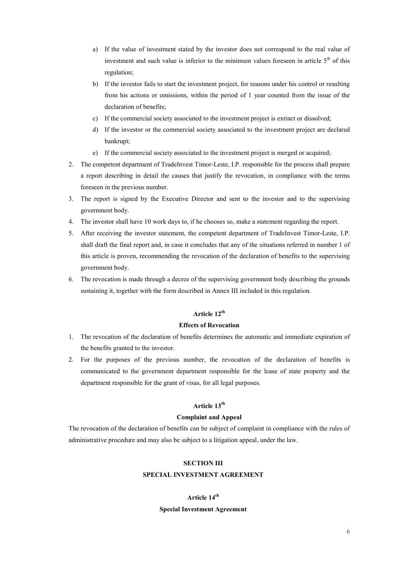- a) If the value of investment stated by the investor does not correspond to the real value of investment and such value is inferior to the minimum values foreseen in article  $5<sup>th</sup>$  of this regulation;
- b) If the investor fails to start the investment project, for reasons under his control or resulting from his actions or omissions, within the period of 1 year counted from the issue of the declaration of benefits;
- c) If the commercial society associated to the investment project is extinct or dissolved;
- d) If the investor or the commercial society associated to the investment project are declared bankrupt;
- e) If the commercial society associated to the investment project is merged or acquired;
- 2. The competent department of TradeInvest Timor-Leste, I.P. responsible for the process shall prepare a report describing in detail the causes that justify the revocation, in compliance with the terms foreseen in the previous number.
- 3. The report is signed by the Executive Director and sent to the investor and to the supervising government body.
- 4. The investor shall have 10 work days to, if he chooses so, make a statement regarding the report.
- 5. After receiving the investor statement, the competent department of TradeInvest Timor-Leste, I.P. shall draft the final report and, in case it concludes that any of the situations referred in number 1 of this article is proven, recommending the revocation of the declaration of benefits to the supervising government body.
- 6. The revocation is made through a decree of the supervising government body describing the grounds sustaining it, together with the form described in Annex III included in this regulation.

## Article 12<sup>th</sup>

## Effects of Revocation

- 1. The revocation of the declaration of benefits determines the automatic and immediate expiration of the benefits granted to the investor.
- 2. For the purposes of the previous number, the revocation of the declaration of benefits is communicated to the government department responsible for the lease of state property and the department responsible for the grant of visas, for all legal purposes.

## Article 13<sup>th</sup>

#### Complaint and Appeal

The revocation of the declaration of benefits can be subject of complaint in compliance with the rules of administrative procedure and may also be subject to a litigation appeal, under the law.

#### SECTION III

#### SPECIAL INVESTMENT AGREEMENT

## Article 14<sup>th</sup>

#### Special Investment Agreement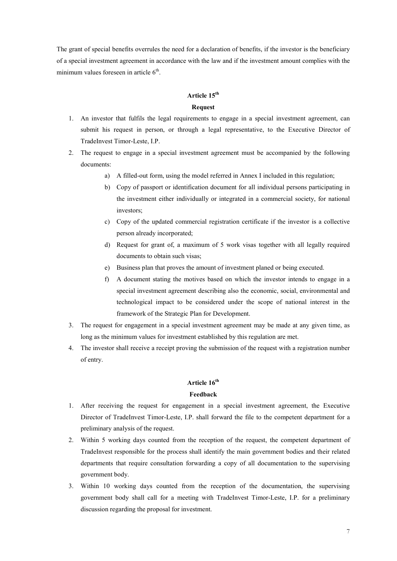The grant of special benefits overrules the need for a declaration of benefits, if the investor is the beneficiary of a special investment agreement in accordance with the law and if the investment amount complies with the minimum values foreseen in article  $6<sup>th</sup>$ .

# Article 15<sup>th</sup> Request

- 1. An investor that fulfils the legal requirements to engage in a special investment agreement, can submit his request in person, or through a legal representative, to the Executive Director of TradeInvest Timor-Leste, I.P.
- 2. The request to engage in a special investment agreement must be accompanied by the following documents:
	- a) A filled-out form, using the model referred in Annex I included in this regulation;
	- b) Copy of passport or identification document for all individual persons participating in the investment either individually or integrated in a commercial society, for national investors;
	- c) Copy of the updated commercial registration certificate if the investor is a collective person already incorporated;
	- d) Request for grant of, a maximum of 5 work visas together with all legally required documents to obtain such visas;
	- e) Business plan that proves the amount of investment planed or being executed.
	- f) A document stating the motives based on which the investor intends to engage in a special investment agreement describing also the economic, social, environmental and technological impact to be considered under the scope of national interest in the framework of the Strategic Plan for Development.
- 3. The request for engagement in a special investment agreement may be made at any given time, as long as the minimum values for investment established by this regulation are met.
- 4. The investor shall receive a receipt proving the submission of the request with a registration number of entry.

## Article 16<sup>th</sup>

## Feedback

- 1. After receiving the request for engagement in a special investment agreement, the Executive Director of TradeInvest Timor-Leste, I.P. shall forward the file to the competent department for a preliminary analysis of the request.
- 2. Within 5 working days counted from the reception of the request, the competent department of TradeInvest responsible for the process shall identify the main government bodies and their related departments that require consultation forwarding a copy of all documentation to the supervising government body.
- 3. Within 10 working days counted from the reception of the documentation, the supervising government body shall call for a meeting with TradeInvest Timor-Leste, I.P. for a preliminary discussion regarding the proposal for investment.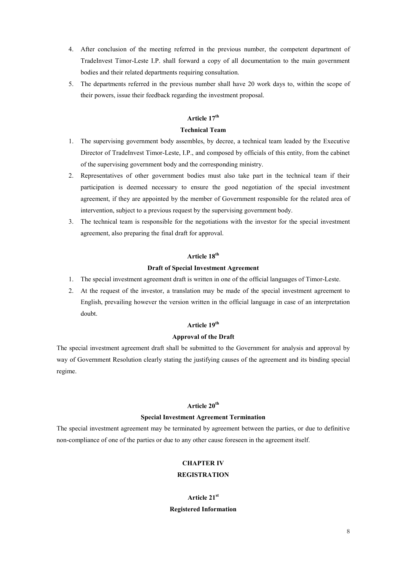- 4. After conclusion of the meeting referred in the previous number, the competent department of TradeInvest Timor-Leste I.P. shall forward a copy of all documentation to the main government bodies and their related departments requiring consultation.
- 5. The departments referred in the previous number shall have 20 work days to, within the scope of their powers, issue their feedback regarding the investment proposal.

## Article 17<sup>th</sup>

#### Technical Team

- 1. The supervising government body assembles, by decree, a technical team leaded by the Executive Director of TradeInvest Timor-Leste, I.P., and composed by officials of this entity, from the cabinet of the supervising government body and the corresponding ministry.
- 2. Representatives of other government bodies must also take part in the technical team if their participation is deemed necessary to ensure the good negotiation of the special investment agreement, if they are appointed by the member of Government responsible for the related area of intervention, subject to a previous request by the supervising government body.
- 3. The technical team is responsible for the negotiations with the investor for the special investment agreement, also preparing the final draft for approval.

## Article 18<sup>th</sup>

#### Draft of Special Investment Agreement

- 1. The special investment agreement draft is written in one of the official languages of Timor-Leste.
- 2. At the request of the investor, a translation may be made of the special investment agreement to English, prevailing however the version written in the official language in case of an interpretation doubt.

## Article 19<sup>th</sup>

## Approval of the Draft

The special investment agreement draft shall be submitted to the Government for analysis and approval by way of Government Resolution clearly stating the justifying causes of the agreement and its binding special regime.

## Article 20<sup>th</sup>

#### Special Investment Agreement Termination

The special investment agreement may be terminated by agreement between the parties, or due to definitive non-compliance of one of the parties or due to any other cause foreseen in the agreement itself.

### CHAPTER IV

#### **REGISTRATION**

# Article 21st Registered Information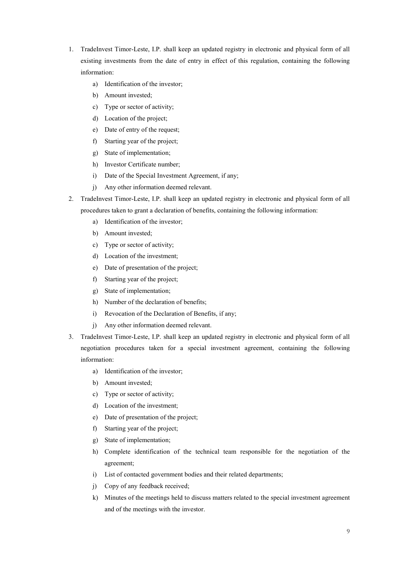- 1. TradeInvest Timor-Leste, I.P. shall keep an updated registry in electronic and physical form of all existing investments from the date of entry in effect of this regulation, containing the following information:
	- a) Identification of the investor;
	- b) Amount invested;
	- c) Type or sector of activity;
	- d) Location of the project;
	- e) Date of entry of the request;
	- f) Starting year of the project;
	- g) State of implementation;
	- h) Investor Certificate number;
	- i) Date of the Special Investment Agreement, if any;
	- j) Any other information deemed relevant.
- 2. TradeInvest Timor-Leste, I.P. shall keep an updated registry in electronic and physical form of all procedures taken to grant a declaration of benefits, containing the following information:
	- a) Identification of the investor;
	- b) Amount invested;
	- c) Type or sector of activity;
	- d) Location of the investment;
	- e) Date of presentation of the project;
	- f) Starting year of the project;
	- g) State of implementation;
	- h) Number of the declaration of benefits;
	- i) Revocation of the Declaration of Benefits, if any;
	- j) Any other information deemed relevant.
- 3. TradeInvest Timor-Leste, I.P. shall keep an updated registry in electronic and physical form of all negotiation procedures taken for a special investment agreement, containing the following information:
	- a) Identification of the investor;
	- b) Amount invested;
	- c) Type or sector of activity;
	- d) Location of the investment;
	- e) Date of presentation of the project;
	- f) Starting year of the project;
	- g) State of implementation;
	- h) Complete identification of the technical team responsible for the negotiation of the agreement;
	- i) List of contacted government bodies and their related departments;
	- j) Copy of any feedback received;
	- k) Minutes of the meetings held to discuss matters related to the special investment agreement and of the meetings with the investor.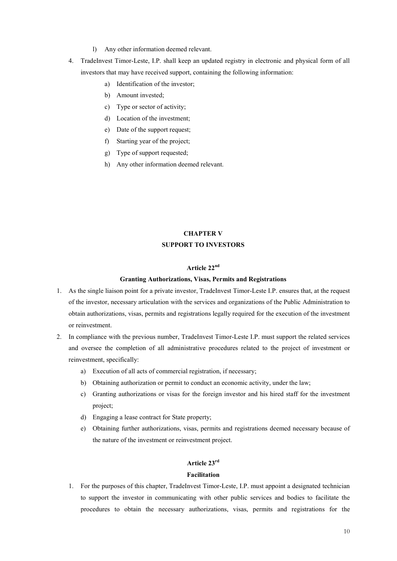- l) Any other information deemed relevant.
- 4. TradeInvest Timor-Leste, I.P. shall keep an updated registry in electronic and physical form of all investors that may have received support, containing the following information:
	- a) Identification of the investor;
	- b) Amount invested;
	- c) Type or sector of activity;
	- d) Location of the investment;
	- e) Date of the support request;
	- f) Starting year of the project;
	- g) Type of support requested;
	- h) Any other information deemed relevant.

# CHAPTER V SUPPORT TO INVESTORS

## Article 22nd

## Granting Authorizations, Visas, Permits and Registrations

- 1. As the single liaison point for a private investor, TradeInvest Timor-Leste I.P. ensures that, at the request of the investor, necessary articulation with the services and organizations of the Public Administration to obtain authorizations, visas, permits and registrations legally required for the execution of the investment or reinvestment.
- 2. In compliance with the previous number, TradeInvest Timor-Leste I.P. must support the related services and oversee the completion of all administrative procedures related to the project of investment or reinvestment, specifically:
	- a) Execution of all acts of commercial registration, if necessary;
	- b) Obtaining authorization or permit to conduct an economic activity, under the law;
	- c) Granting authorizations or visas for the foreign investor and his hired staff for the investment project;
	- d) Engaging a lease contract for State property;
	- e) Obtaining further authorizations, visas, permits and registrations deemed necessary because of the nature of the investment or reinvestment project.

## Article 23rd

#### Facilitation

1. For the purposes of this chapter, TradeInvest Timor-Leste, I.P. must appoint a designated technician to support the investor in communicating with other public services and bodies to facilitate the procedures to obtain the necessary authorizations, visas, permits and registrations for the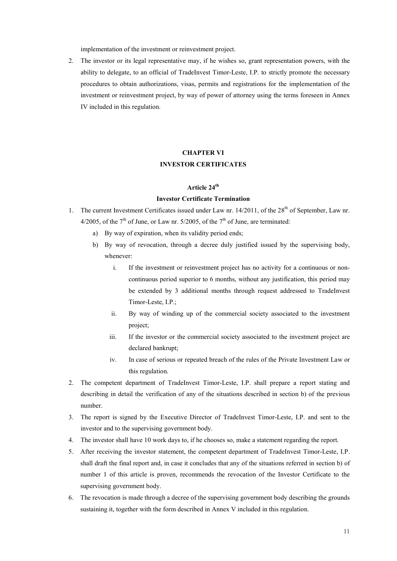implementation of the investment or reinvestment project.

2. The investor or its legal representative may, if he wishes so, grant representation powers, with the ability to delegate, to an official of TradeInvest Timor-Leste, I.P. to strictly promote the necessary procedures to obtain authorizations, visas, permits and registrations for the implementation of the investment or reinvestment project, by way of power of attorney using the terms foreseen in Annex IV included in this regulation.

## CHAPTER VI INVESTOR CERTIFICATES

## Article 24<sup>th</sup>

#### Investor Certificate Termination

- 1. The current Investment Certificates issued under Law nr.  $14/2011$ , of the  $28<sup>th</sup>$  of September, Law nr. 4/2005, of the  $7<sup>th</sup>$  of June, or Law nr. 5/2005, of the  $7<sup>th</sup>$  of June, are terminated:
	- a) By way of expiration, when its validity period ends;
	- b) By way of revocation, through a decree duly justified issued by the supervising body, whenever:
		- i. If the investment or reinvestment project has no activity for a continuous or noncontinuous period superior to 6 months, without any justification, this period may be extended by 3 additional months through request addressed to TradeInvest Timor-Leste, I.P.;
		- ii. By way of winding up of the commercial society associated to the investment project;
		- iii. If the investor or the commercial society associated to the investment project are declared bankrupt;
		- iv. In case of serious or repeated breach of the rules of the Private Investment Law or this regulation.
- 2. The competent department of TradeInvest Timor-Leste, I.P. shall prepare a report stating and describing in detail the verification of any of the situations described in section b) of the previous number.
- 3. The report is signed by the Executive Director of TradeInvest Timor-Leste, I.P. and sent to the investor and to the supervising government body.
- 4. The investor shall have 10 work days to, if he chooses so, make a statement regarding the report.
- 5. After receiving the investor statement, the competent department of TradeInvest Timor-Leste, I.P. shall draft the final report and, in case it concludes that any of the situations referred in section b) of number 1 of this article is proven, recommends the revocation of the Investor Certificate to the supervising government body.
- 6. The revocation is made through a decree of the supervising government body describing the grounds sustaining it, together with the form described in Annex V included in this regulation.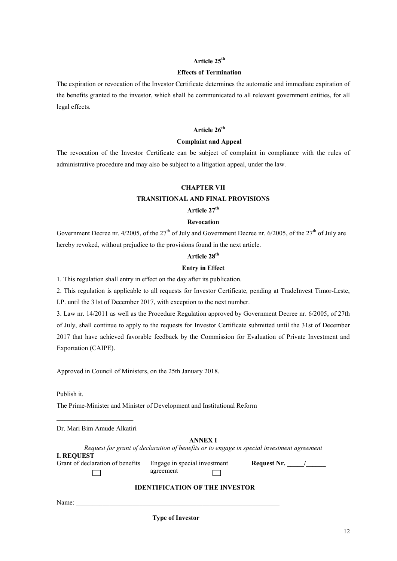## Article 25<sup>th</sup>

#### Effects of Termination

The expiration or revocation of the Investor Certificate determines the automatic and immediate expiration of the benefits granted to the investor, which shall be communicated to all relevant government entities, for all legal effects.

## Article 26<sup>th</sup>

#### Complaint and Appeal

The revocation of the Investor Certificate can be subject of complaint in compliance with the rules of administrative procedure and may also be subject to a litigation appeal, under the law.

## CHAPTER VII

#### TRANSITIONAL AND FINAL PROVISIONS

## Article 27<sup>th</sup>

## Revocation

Government Decree nr.  $4/2005$ , of the  $27<sup>th</sup>$  of July and Government Decree nr. 6/2005, of the  $27<sup>th</sup>$  of July are hereby revoked, without prejudice to the provisions found in the next article.

## Article 28<sup>th</sup>

#### Entry in Effect

1. This regulation shall entry in effect on the day after its publication.

2. This regulation is applicable to all requests for Investor Certificate, pending at TradeInvest Timor-Leste, I.P. until the 31st of December 2017, with exception to the next number.

3. Law nr. 14/2011 as well as the Procedure Regulation approved by Government Decree nr. 6/2005, of 27th of July, shall continue to apply to the requests for Investor Certificate submitted until the 31st of December 2017 that have achieved favorable feedback by the Commission for Evaluation of Private Investment and Exportation (CAIPE).

Approved in Council of Ministers, on the 25th January 2018.

Publish it.

The Prime-Minister and Minister of Development and Institutional Reform

Dr. Mari Bim Amude Alkatiri

#### ANNEX I

Request for grant of declaration of benefits or to engage in special investment agreement

| <b>I. REQUEST</b>                |                              |
|----------------------------------|------------------------------|
| Grant of declaration of benefits | Engage in special investment |
|                                  | agreement                    |

Request Nr. \_\_\_\_\_/\_\_\_\_\_\_

## IDENTIFICATION OF THE INVESTOR

Name:

Type of Investor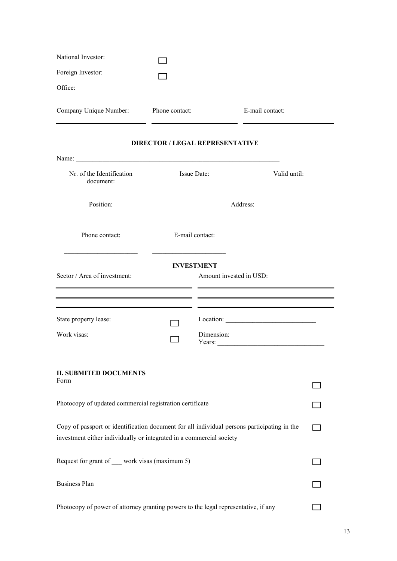| National Investor:     |                |                 |
|------------------------|----------------|-----------------|
| Foreign Investor:      |                |                 |
| Office:                |                |                 |
| Company Unique Number: | Phone contact: | E-mail contact: |

## DIRECTOR / LEGAL REPRESENTATIVE

L. j.

| Name:                                                                                                                                                               |                 |                                              |              |
|---------------------------------------------------------------------------------------------------------------------------------------------------------------------|-----------------|----------------------------------------------|--------------|
| Nr. of the Identification<br>document:                                                                                                                              |                 | Issue Date:                                  | Valid until: |
| Position:                                                                                                                                                           |                 |                                              |              |
| Phone contact:                                                                                                                                                      | E-mail contact: |                                              |              |
| Sector / Area of investment:                                                                                                                                        |                 | <b>INVESTMENT</b><br>Amount invested in USD: |              |
|                                                                                                                                                                     |                 | <u> 1980 - Jan Salaman Salaman (j. 1980)</u> |              |
| State property lease:                                                                                                                                               |                 |                                              |              |
| Work visas:                                                                                                                                                         |                 | Dimension:<br>Years: $\qquad \qquad$         |              |
| <b>II. SUBMITED DOCUMENTS</b><br>Form                                                                                                                               |                 |                                              |              |
|                                                                                                                                                                     |                 |                                              |              |
| Photocopy of updated commercial registration certificate                                                                                                            |                 |                                              |              |
| Copy of passport or identification document for all individual persons participating in the<br>investment either individually or integrated in a commercial society |                 |                                              |              |
| Request for grant of __ work visas (maximum 5)                                                                                                                      |                 |                                              |              |
| <b>Business Plan</b>                                                                                                                                                |                 |                                              |              |
| Photocopy of power of attorney granting powers to the legal representative, if any                                                                                  |                 |                                              |              |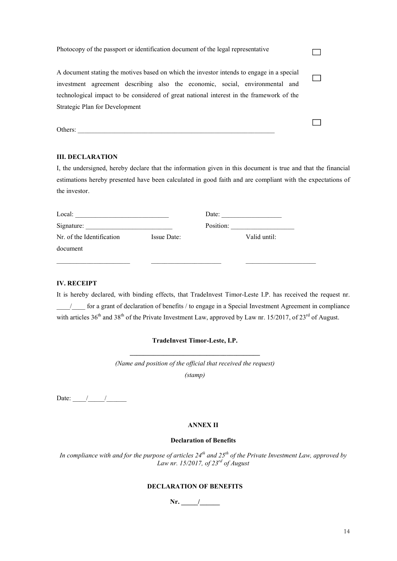| Photocopy of the passport or identification document of the legal representative                                                                                         |  |
|--------------------------------------------------------------------------------------------------------------------------------------------------------------------------|--|
| A document stating the motives based on which the investor intends to engage in a special                                                                                |  |
| investment agreement describing also the economic, social, environmental and<br>technological impact to be considered of great national interest in the framework of the |  |
| Strategic Plan for Development                                                                                                                                           |  |
|                                                                                                                                                                          |  |

Others:

## III. DECLARATION

I, the undersigned, hereby declare that the information given in this document is true and that the financial estimations hereby presented have been calculated in good faith and are compliant with the expectations of the investor.

| Local:                    |             | Date:     |              |
|---------------------------|-------------|-----------|--------------|
| Signature:                |             | Position: |              |
| Nr. of the Identification | Issue Date: |           | Valid until: |
| document                  |             |           |              |
|                           |             |           |              |

## IV. RECEIPT

It is hereby declared, with binding effects, that TradeInvest Timor-Leste I.P. has received the request nr. \_\_\_\_/\_\_\_\_ for a grant of declaration of benefits / to engage in a Special Investment Agreement in compliance with articles  $36<sup>th</sup>$  and  $38<sup>th</sup>$  of the Private Investment Law, approved by Law nr. 15/2017, of 23<sup>rd</sup> of August.

# TradeInvest Timor-Leste, I.P. \_\_\_\_\_\_\_\_\_\_\_\_\_\_\_\_\_\_\_\_\_\_\_\_\_\_\_\_\_\_\_\_\_\_\_\_\_\_\_

(Name and position of the official that received the request) (stamp)

Date:  $\frac{1}{\sqrt{2\pi}}$ 

#### ANNEX II

### Declaration of Benefits

In compliance with and for the purpose of articles  $24^{th}$  and  $25^{th}$  of the Private Investment Law, approved by Law nr. 15/2017, of  $23^{rd}$  of August

## DECLARATION OF BENEFITS

Nr. \_\_\_\_\_/\_\_\_\_\_\_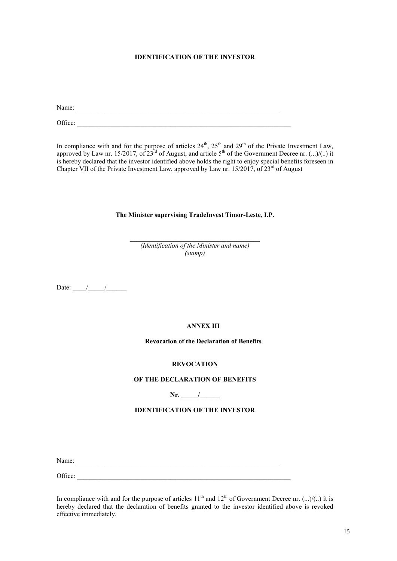## IDENTIFICATION OF THE INVESTOR

Name:

Office:

In compliance with and for the purpose of articles  $24<sup>th</sup>$ ,  $25<sup>th</sup>$  and  $29<sup>th</sup>$  of the Private Investment Law, approved by Law nr. 15/2017, of 23<sup>rd</sup> of August, and article 5<sup>th</sup> of the Government Decree nr. (...)/(..) it is hereby declared that the investor identified above holds the right to enjoy special benefits foreseen in Chapter VII of the Private Investment Law, approved by Law nr. 15/2017, of 23<sup>rd</sup> of August

#### The Minister supervising TradeInvest Timor-Leste, I.P.

\_\_\_\_\_\_\_\_\_\_\_\_\_\_\_\_\_\_\_\_\_\_\_\_\_\_\_\_\_\_\_\_\_\_\_\_\_\_\_ (Identification of the Minister and name) (stamp)

Date:  $\frac{1}{\sqrt{2\pi}}$ 

## ANNEX III

## Revocation of the Declaration of Benefits

#### **REVOCATION**

#### OF THE DECLARATION OF BENEFITS

Nr. \_\_\_\_\_/\_\_\_\_\_\_

## IDENTIFICATION OF THE INVESTOR

Name:

Office: \_\_\_\_\_\_\_\_\_\_\_\_\_\_\_\_\_\_\_\_\_\_\_\_\_\_\_\_\_\_\_\_\_\_\_\_\_\_\_\_\_\_\_\_\_\_\_\_\_\_\_\_\_\_\_\_\_\_\_\_\_\_\_\_

In compliance with and for the purpose of articles  $11<sup>th</sup>$  and  $12<sup>th</sup>$  of Government Decree nr. (...)/(..) it is hereby declared that the declaration of benefits granted to the investor identified above is revoked effective immediately.